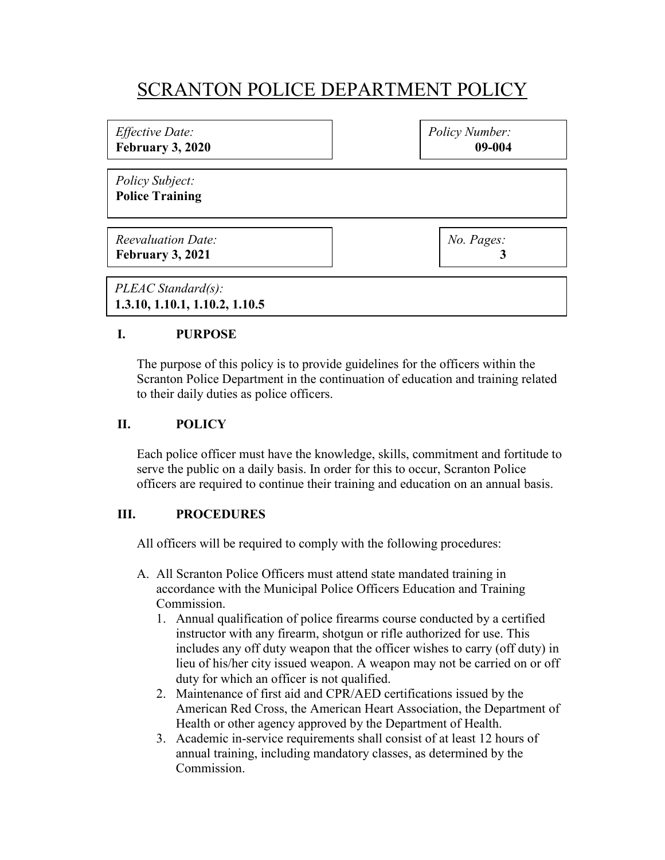# SCRANTON POLICE DEPARTMENT POLICY

| <i>Effective Date:</i><br><b>February 3, 2020</b> | Policy Number:<br>09-004 |
|---------------------------------------------------|--------------------------|
| <i>Policy Subject:</i><br><b>Police Training</b>  |                          |
| <b>Reevaluation Date:</b><br>February 3, 2021     | No. Pages:               |
| PLEAC Standard(s):                                |                          |

**1.3.10, 1.10.1, 1.10.2, 1.10.5**

#### **I. PURPOSE**

The purpose of this policy is to provide guidelines for the officers within the Scranton Police Department in the continuation of education and training related to their daily duties as police officers.

#### **II. POLICY**

Each police officer must have the knowledge, skills, commitment and fortitude to serve the public on a daily basis. In order for this to occur, Scranton Police officers are required to continue their training and education on an annual basis.

## **III. PROCEDURES**

All officers will be required to comply with the following procedures:

- A. All Scranton Police Officers must attend state mandated training in accordance with the Municipal Police Officers Education and Training Commission.
	- 1. Annual qualification of police firearms course conducted by a certified instructor with any firearm, shotgun or rifle authorized for use. This includes any off duty weapon that the officer wishes to carry (off duty) in lieu of his/her city issued weapon. A weapon may not be carried on or off duty for which an officer is not qualified.
	- 2. Maintenance of first aid and CPR/AED certifications issued by the American Red Cross, the American Heart Association, the Department of Health or other agency approved by the Department of Health.
	- 3. Academic in-service requirements shall consist of at least 12 hours of annual training, including mandatory classes, as determined by the Commission.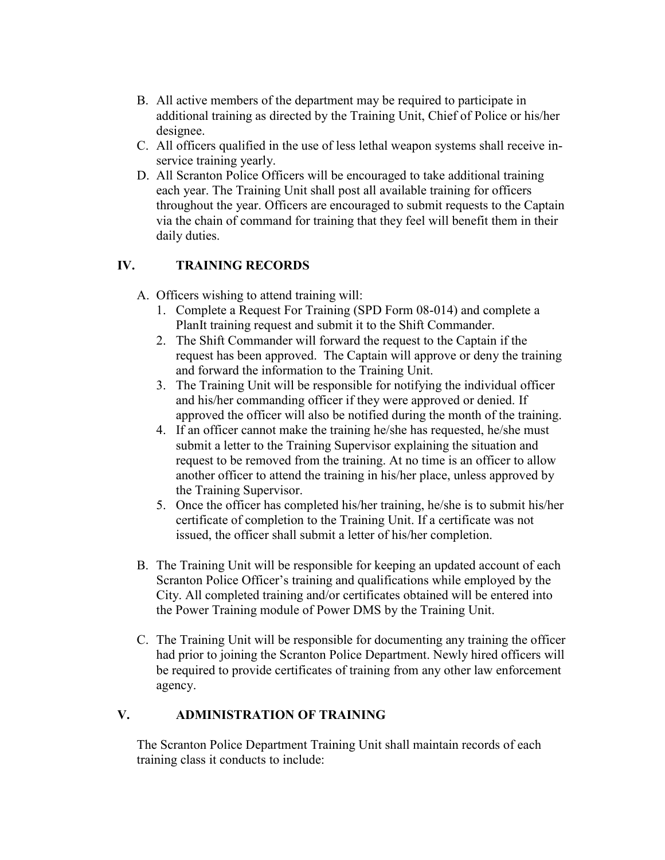- B. All active members of the department may be required to participate in additional training as directed by the Training Unit, Chief of Police or his/her designee.
- C. All officers qualified in the use of less lethal weapon systems shall receive inservice training yearly.
- D. All Scranton Police Officers will be encouraged to take additional training each year. The Training Unit shall post all available training for officers throughout the year. Officers are encouraged to submit requests to the Captain via the chain of command for training that they feel will benefit them in their daily duties.

## **IV. TRAINING RECORDS**

- A. Officers wishing to attend training will:
	- 1. Complete a Request For Training (SPD Form 08-014) and complete a PlanIt training request and submit it to the Shift Commander.
	- 2. The Shift Commander will forward the request to the Captain if the request has been approved. The Captain will approve or deny the training and forward the information to the Training Unit.
	- 3. The Training Unit will be responsible for notifying the individual officer and his/her commanding officer if they were approved or denied. If approved the officer will also be notified during the month of the training.
	- 4. If an officer cannot make the training he/she has requested, he/she must submit a letter to the Training Supervisor explaining the situation and request to be removed from the training. At no time is an officer to allow another officer to attend the training in his/her place, unless approved by the Training Supervisor.
	- 5. Once the officer has completed his/her training, he/she is to submit his/her certificate of completion to the Training Unit. If a certificate was not issued, the officer shall submit a letter of his/her completion.
- B. The Training Unit will be responsible for keeping an updated account of each Scranton Police Officer's training and qualifications while employed by the City. All completed training and/or certificates obtained will be entered into the Power Training module of Power DMS by the Training Unit.
- C. The Training Unit will be responsible for documenting any training the officer had prior to joining the Scranton Police Department. Newly hired officers will be required to provide certificates of training from any other law enforcement agency.

## **V. ADMINISTRATION OF TRAINING**

The Scranton Police Department Training Unit shall maintain records of each training class it conducts to include: